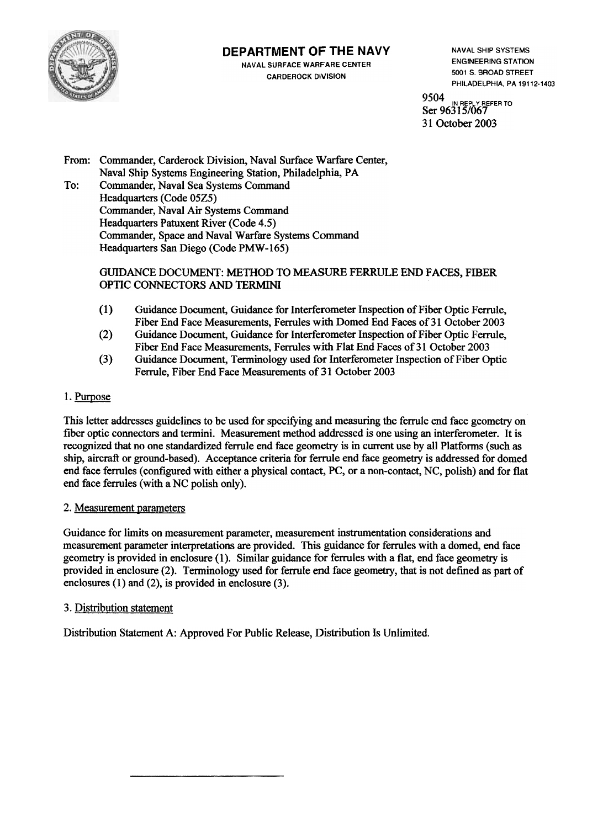

# **DEPARTMENT OF THE NAVY**

**NAVAL SURFACE WARFARE CENTER CARDEROCK DIVISION** 

**NAVAL SHIP SYSTEMS ENGINEERING STATION** 5001 S. BROAD STREET PHILADELPHIA, PA 19112-1403

9504 **REPLY REFER TO** Ser 96315/067 31 October 2003

From: Commander, Carderock Division, Naval Surface Warfare Center, Naval Ship Systems Engineering Station, Philadelphia, PA To: Commander, Naval Sea Systems Command Headquarters (Code 05Z5) Commander, Naval Air Systems Command Headquarters Patuxent River (Code 4.5) Commander, Space and Naval Warfare Systems Command Headquarters San Diego (Code PMW-165)

### GUIDANCE DOCUMENT: METHOD TO MEASURE FERRULE END FACES, FIBER OPTIC CONNECTORS AND TERMINI

- $(1)$ Guidance Document, Guidance for Interferometer Inspection of Fiber Optic Ferrule, Fiber End Face Measurements, Ferrules with Domed End Faces of 31 October 2003
- $(2)$ Guidance Document, Guidance for Interferometer Inspection of Fiber Optic Ferrule, Fiber End Face Measurements, Ferrules with Flat End Faces of 31 October 2003
- $(3)$ Guidance Document, Terminology used for Interferometer Inspection of Fiber Optic Ferrule, Fiber End Face Measurements of 31 October 2003

# 1. Purpose

This letter addresses guidelines to be used for specifying and measuring the ferrule end face geometry on fiber optic connectors and termini. Measurement method addressed is one using an interferometer. It is recognized that no one standardized ferrule end face geometry is in current use by all Platforms (such as ship, aircraft or ground-based). Acceptance criteria for ferrule end face geometry is addressed for domed end face ferrules (configured with either a physical contact, PC, or a non-contact, NC, polish) and for flat end face ferrules (with a NC polish only).

### 2. Measurement parameters

Guidance for limits on measurement parameter, measurement instrumentation considerations and measurement parameter interpretations are provided. This guidance for ferrules with a domed, end face geometry is provided in enclosure (1). Similar guidance for ferrules with a flat, end face geometry is provided in enclosure (2). Terminology used for ferrule end face geometry, that is not defined as part of enclosures  $(1)$  and  $(2)$ , is provided in enclosure  $(3)$ .

# 3. Distribution statement

Distribution Statement A: Approved For Public Release, Distribution Is Unlimited.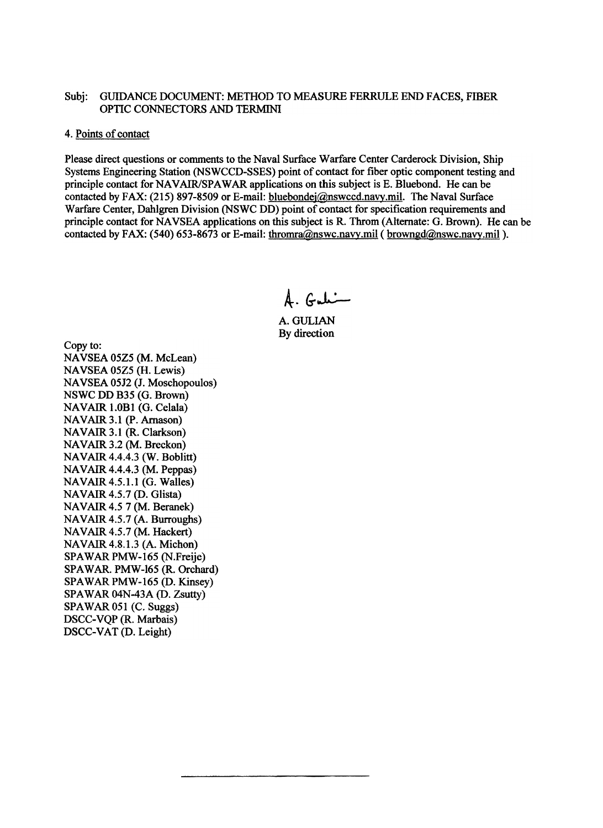#### Subi: GUIDANCE DOCUMENT: METHOD TO MEASURE FERRULE END FACES. FIBER OPTIC CONNECTORS AND TERMINI

### 4. Points of contact

Please direct questions or comments to the Naval Surface Warfare Center Carderock Division, Ship Systems Engineering Station (NSWCCD-SSES) point of contact for fiber optic component testing and principle contact for NAVAIR/SPAWAR applications on this subject is E. Bluebond. He can be contacted by FAX: (215) 897-8509 or E-mail: bluebondej@nswccd.navy.mil. The Naval Surface Warfare Center, Dahlgren Division (NSWC DD) point of contact for specification requirements and principle contact for NAVSEA applications on this subject is R. Throm (Alternate: G. Brown). He can be contacted by FAX: (540) 653-8673 or E-mail: thromra@nswc.navy.mil (browngd@nswc.navy.mil).

 $A.$  Gali

A. GULIAN By direction

Copy to: NAVSEA 05Z5 (M. McLean) NAVSEA 05Z5 (H. Lewis) NAVSEA 05J2 (J. Moschopoulos) NSWC DD B35 (G. Brown) NAVAIR 1.0B1 (G. Celala) NAVAIR 3.1 (P. Arnason) NAVAIR 3.1 (R. Clarkson) NAVAIR 3.2 (M. Breckon) NAVAIR 4.4.4.3 (W. Boblitt) NAVAIR 4.4.4.3 (M. Peppas) NAVAIR 4.5.1.1 (G. Walles) NAVAIR 4.5.7 (D. Glista) NAVAIR 4.5 7 (M. Beranek) NAVAIR 4.5.7 (A. Burroughs) NAVAIR 4.5.7 (M. Hackert) NAVAIR 4.8.1.3 (A. Michon) SPAWAR PMW-165 (N.Freije) SPAWAR. PMW-165 (R. Orchard) SPAWAR PMW-165 (D. Kinsey) SPAWAR 04N-43A (D. Zsutty) SPAWAR 051 (C. Suggs) DSCC-VQP (R. Marbais) DSCC-VAT (D. Leight)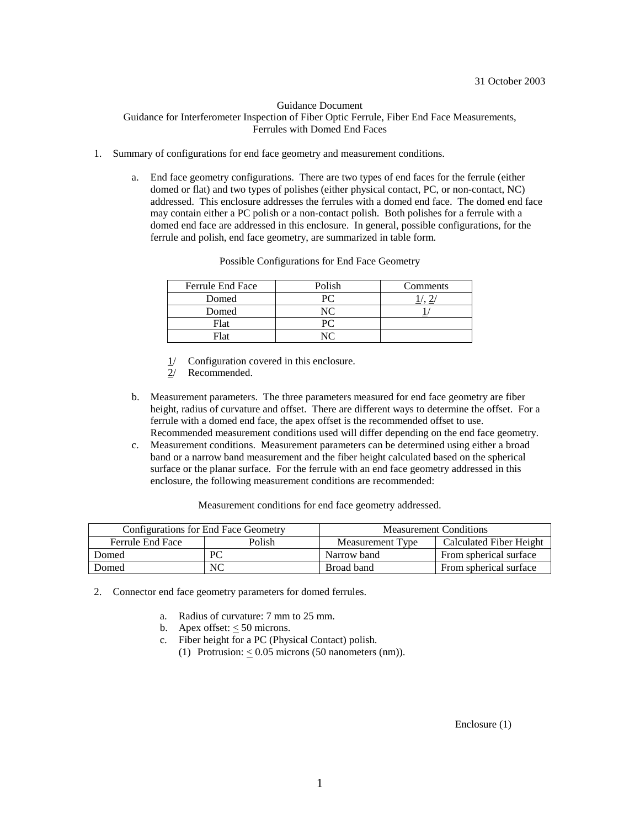#### Guidance Document Guidance for Interferometer Inspection of Fiber Optic Ferrule, Fiber End Face Measurements, Ferrules with Domed End Faces

- 1. Summary of configurations for end face geometry and measurement conditions.
	- a. End face geometry configurations. There are two types of end faces for the ferrule (either domed or flat) and two types of polishes (either physical contact, PC, or non-contact, NC) addressed. This enclosure addresses the ferrules with a domed end face. The domed end face may contain either a PC polish or a non-contact polish. Both polishes for a ferrule with a domed end face are addressed in this enclosure. In general, possible configurations, for the ferrule and polish, end face geometry, are summarized in table form.

| Ferrule End Face | Polish | Comments |
|------------------|--------|----------|
| Domed            |        |          |
| Domed            |        |          |
| Flat             |        |          |
| Flat             |        |          |

Possible Configurations for End Face Geometry

- Configuration covered in this enclosure.
- 2/ Recommended.
- b. Measurement parameters. The three parameters measured for end face geometry are fiber height, radius of curvature and offset. There are different ways to determine the offset. For a ferrule with a domed end face, the apex offset is the recommended offset to use. Recommended measurement conditions used will differ depending on the end face geometry.
- c. Measurement conditions. Measurement parameters can be determined using either a broad band or a narrow band measurement and the fiber height calculated based on the spherical surface or the planar surface. For the ferrule with an end face geometry addressed in this enclosure, the following measurement conditions are recommended:

Measurement conditions for end face geometry addressed.

|                  | Configurations for End Face Geometry | <b>Measurement Conditions</b> |                                |  |  |
|------------------|--------------------------------------|-------------------------------|--------------------------------|--|--|
| Ferrule End Face | Polish                               | Measurement Type              | <b>Calculated Fiber Height</b> |  |  |
| Domed            | PС                                   | Narrow band                   | From spherical surface         |  |  |
| Domed            | NC                                   | Broad band                    | From spherical surface         |  |  |

2. Connector end face geometry parameters for domed ferrules.

- a. Radius of curvature: 7 mm to 25 mm.
- b. Apex offset:  $< 50$  microns.
- c. Fiber height for a PC (Physical Contact) polish.
	- (1) Protrusion:  $< 0.05$  microns (50 nanometers (nm)).

Enclosure (1)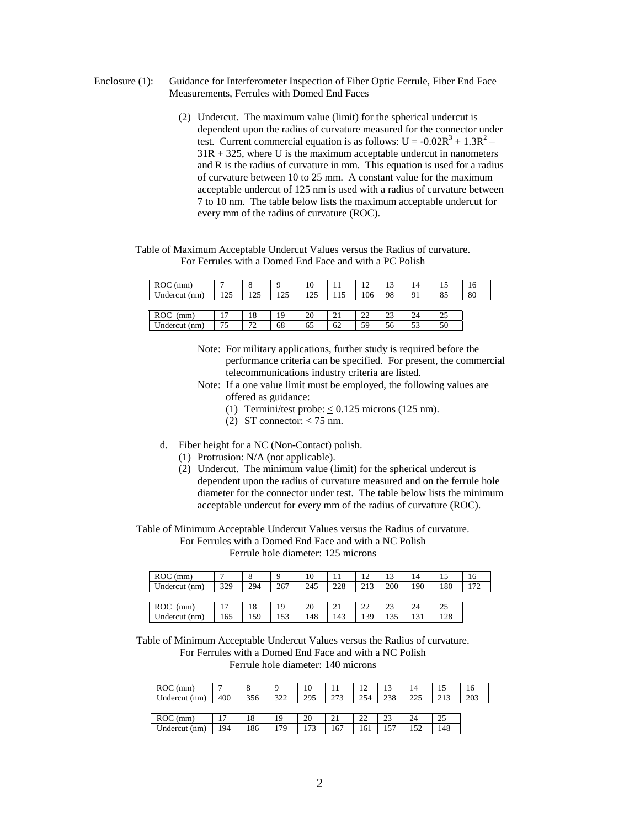- Enclosure (1): Guidance for Interferometer Inspection of Fiber Optic Ferrule, Fiber End Face Measurements, Ferrules with Domed End Faces
	- (2) Undercut. The maximum value (limit) for the spherical undercut is dependent upon the radius of curvature measured for the connector under test. Current commercial equation is as follows:  $U = -0.02R^3 + 1.3R^2 31R + 325$ , where U is the maximum acceptable undercut in nanometers and R is the radius of curvature in mm. This equation is used for a radius of curvature between 10 to 25 mm. A constant value for the maximum acceptable undercut of 125 nm is used with a radius of curvature between 7 to 10 nm. The table below lists the maximum acceptable undercut for every mm of the radius of curvature (ROC).

Table of Maximum Acceptable Undercut Values versus the Radius of curvature. For Ferrules with a Domed End Face and with a PC Polish

| $ROC$ (mm)         | −                              | $\circ$<br>Õ | a   | 10  |     | 12<br>⊥ ∠ | 1 <sub>2</sub><br>IJ | 14 |    | 16 |
|--------------------|--------------------------------|--------------|-----|-----|-----|-----------|----------------------|----|----|----|
| Undercut (nm)      | 1つら                            | 25،          | 125 | 125 | 115 | 106       | 98                   | 91 | 85 | 80 |
|                    |                                |              |     |     |     |           |                      |    |    |    |
| <b>ROC</b><br>(mm) |                                | 18           | 19  | 20  | ∠⊥  | 22        | າາ<br>ل ک            | 24 | 25 |    |
| Undercut (nm)      | $\overline{\phantom{a}}$<br>כי | 70<br>∸      | 68  | 65  | 62  | 59        | 56                   | 53 | 50 |    |

- Note: For military applications, further study is required before the performance criteria can be specified. For present, the commercial telecommunications industry criteria are listed.
- Note: If a one value limit must be employed, the following values are offered as guidance:
	- (1) Termini/test probe:  $\leq 0.125$  microns (125 nm).
	- (2) ST connector:  $<$  75 nm.
- d. Fiber height for a NC (Non-Contact) polish.
	- (1) Protrusion: N/A (not applicable).
	- (2) Undercut. The minimum value (limit) for the spherical undercut is dependent upon the radius of curvature measured and on the ferrule hole diameter for the connector under test. The table below lists the minimum acceptable undercut for every mm of the radius of curvature (ROC).

Table of Minimum Acceptable Undercut Values versus the Radius of curvature. For Ferrules with a Domed End Face and with a NC Polish Ferrule hole diameter: 125 microns

| $ROC$ (mm)    | $\overline{ }$ | $\circ$<br>Õ | a   | 10  |     |     |        | 14  |     |  |
|---------------|----------------|--------------|-----|-----|-----|-----|--------|-----|-----|--|
| Undercut (nm) | 329            | 294          | 267 | 245 | 228 | 212 | 200    | 190 | 180 |  |
|               |                |              |     |     |     |     |        |     |     |  |
| ROC<br>(mm)   | י              | 18           | 19  | 20  |     | າາ  | າາ     | 24  | 25  |  |
| Undercut (nm) | 165            | 159          | 153 | 148 | 143 | 139 | $\sim$ | 121 | 128 |  |

Table of Minimum Acceptable Undercut Values versus the Radius of curvature. For Ferrules with a Domed End Face and with a NC Polish Ferrule hole diameter: 140 microns

| $ROC$ (mm)    |              | $\Omega$<br>O | Q          | 10  |     | 12       | 1 <sub>2</sub>        | 14  |     | 16  |
|---------------|--------------|---------------|------------|-----|-----|----------|-----------------------|-----|-----|-----|
| Undercut (nm) | 400          | 356           | 322<br>ے د | 295 | 273 | 254      | 238                   | 225 | 212 | 203 |
|               |              |               |            |     |     |          |                       |     |     |     |
| $ROC$ (mm)    | $\mathbf{7}$ | 18            | 19         | 20  | 21  | つつ<br>∠∠ | 2 <sup>2</sup><br>ل ک | 24  | 25  |     |
| Undercut (nm) | 194          | 186           | 179        | 173 | 167 | 161      | $-1$                  | 152 | 148 |     |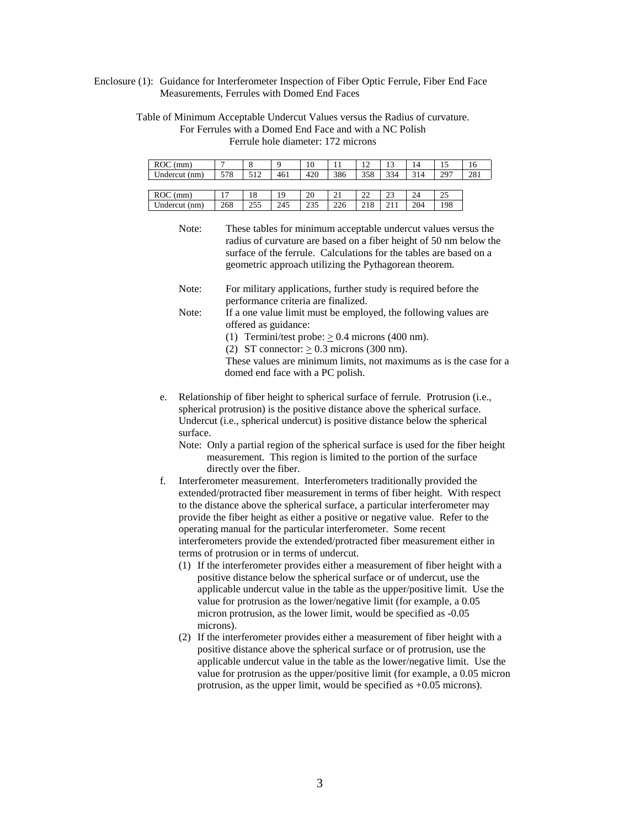Enclosure (1): Guidance for Interferometer Inspection of Fiber Optic Ferrule, Fiber End Face Measurements, Ferrules with Domed End Faces

Table of Minimum Acceptable Undercut Values versus the Radius of curvature. For Ferrules with a Domed End Face and with a NC Polish Ferrule hole diameter: 172 microns

| $ROC$ (mm)    | $\overline{ }$ | 8   | a   | 10  | 11  |          |            | 14  |     |     |
|---------------|----------------|-----|-----|-----|-----|----------|------------|-----|-----|-----|
| Undercut (nm) | 578            | 512 | 461 | 420 | 386 | 358      | 334        | 314 | 207 | 281 |
|               |                |     |     |     |     |          |            |     |     |     |
| $ROC$ (mm)    | Ē              | 18  |     | 20  | 21  | າາ<br>∠∠ |            | 24  | 25  |     |
| Undercut (nm) | 268            | 255 | 245 | 235 | 226 | 218      | $\sim$ 1.1 | 204 | 198 |     |

Note: These tables for minimum acceptable undercut values versus the radius of curvature are based on a fiber height of 50 nm below the surface of the ferrule. Calculations for the tables are based on a geometric approach utilizing the Pythagorean theorem.

- e. Relationship of fiber height to spherical surface of ferrule. Protrusion (i.e., spherical protrusion) is the positive distance above the spherical surface. Undercut (i.e., spherical undercut) is positive distance below the spherical surface.
	- Note: Only a partial region of the spherical surface is used for the fiber height measurement. This region is limited to the portion of the surface directly over the fiber.
- f. Interferometer measurement. Interferometers traditionally provided the extended/protracted fiber measurement in terms of fiber height. With respect to the distance above the spherical surface, a particular interferometer may provide the fiber height as either a positive or negative value. Refer to the operating manual for the particular interferometer. Some recent interferometers provide the extended/protracted fiber measurement either in terms of protrusion or in terms of undercut.
	- (1) If the interferometer provides either a measurement of fiber height with a positive distance below the spherical surface or of undercut, use the applicable undercut value in the table as the upper/positive limit. Use the value for protrusion as the lower/negative limit (for example, a 0.05 micron protrusion, as the lower limit, would be specified as -0.05 microns).
	- (2) If the interferometer provides either a measurement of fiber height with a positive distance above the spherical surface or of protrusion, use the applicable undercut value in the table as the lower/negative limit. Use the value for protrusion as the upper/positive limit (for example, a 0.05 micron protrusion, as the upper limit, would be specified as +0.05 microns).

Note: For military applications, further study is required before the performance criteria are finalized. Note: If a one value limit must be employed, the following values are offered as guidance: (1) Termini/test probe:  $> 0.4$  microns (400 nm). (2) ST connector:  $\geq$  0.3 microns (300 nm). These values are minimum limits, not maximums as is the case for a domed end face with a PC polish.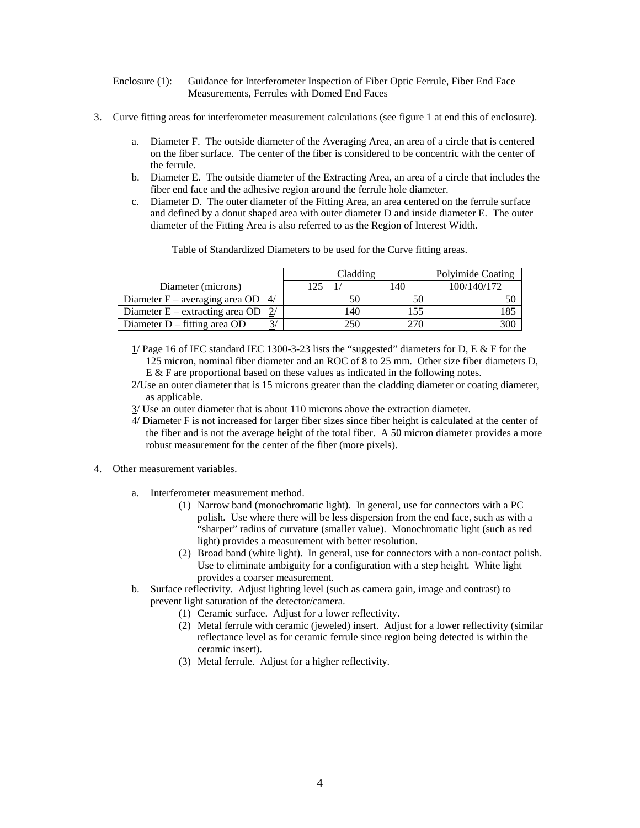#### Enclosure (1): Guidance for Interferometer Inspection of Fiber Optic Ferrule, Fiber End Face Measurements, Ferrules with Domed End Faces

- 3. Curve fitting areas for interferometer measurement calculations (see figure 1 at end this of enclosure).
	- a. Diameter F. The outside diameter of the Averaging Area, an area of a circle that is centered on the fiber surface. The center of the fiber is considered to be concentric with the center of the ferrule.
	- b. Diameter E. The outside diameter of the Extracting Area, an area of a circle that includes the fiber end face and the adhesive region around the ferrule hole diameter.
	- c. Diameter D. The outer diameter of the Fitting Area, an area centered on the ferrule surface and defined by a donut shaped area with outer diameter D and inside diameter E. The outer diameter of the Fitting Area is also referred to as the Region of Interest Width.

Table of Standardized Diameters to be used for the Curve fitting areas.

|                                     | Cladding     | Polyimide Coating |             |  |
|-------------------------------------|--------------|-------------------|-------------|--|
| Diameter (microns)                  |              | 140               | 100/140/172 |  |
| Diameter F – averaging area OD $4/$ | 50           | 50                |             |  |
| Diameter $E -$ extracting area OD   | $ 40\rangle$ | 155               |             |  |
| Diameter $D$ – fitting area OD      | 250          | 270               | 300         |  |

- $1/$  Page 16 of IEC standard IEC 1300-3-23 lists the "suggested" diameters for D, E & F for the 125 micron, nominal fiber diameter and an ROC of 8 to 25 mm. Other size fiber diameters D,  $E \& F$  are proportional based on these values as indicated in the following notes.
- 2/Use an outer diameter that is 15 microns greater than the cladding diameter or coating diameter, as applicable.
- 3/ Use an outer diameter that is about 110 microns above the extraction diameter.
- 4/ Diameter F is not increased for larger fiber sizes since fiber height is calculated at the center of the fiber and is not the average height of the total fiber. A 50 micron diameter provides a more robust measurement for the center of the fiber (more pixels).
- 4. Other measurement variables.
	- a. Interferometer measurement method.
		- (1) Narrow band (monochromatic light). In general, use for connectors with a PC polish. Use where there will be less dispersion from the end face, such as with a "sharper" radius of curvature (smaller value). Monochromatic light (such as red light) provides a measurement with better resolution.
		- (2) Broad band (white light). In general, use for connectors with a non-contact polish. Use to eliminate ambiguity for a configuration with a step height. White light provides a coarser measurement.
	- b. Surface reflectivity. Adjust lighting level (such as camera gain, image and contrast) to prevent light saturation of the detector/camera.
		- (1) Ceramic surface. Adjust for a lower reflectivity.
		- (2) Metal ferrule with ceramic (jeweled) insert. Adjust for a lower reflectivity (similar reflectance level as for ceramic ferrule since region being detected is within the ceramic insert).
		- (3) Metal ferrule. Adjust for a higher reflectivity.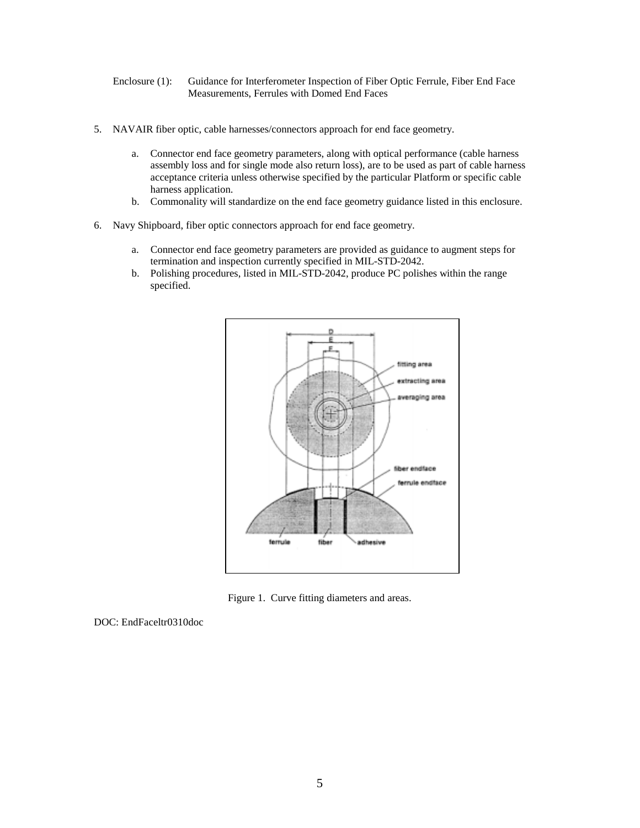Enclosure (1): Guidance for Interferometer Inspection of Fiber Optic Ferrule, Fiber End Face Measurements, Ferrules with Domed End Faces

- 5. NAVAIR fiber optic, cable harnesses/connectors approach for end face geometry.
	- a. Connector end face geometry parameters, along with optical performance (cable harness assembly loss and for single mode also return loss), are to be used as part of cable harness acceptance criteria unless otherwise specified by the particular Platform or specific cable harness application.
	- b. Commonality will standardize on the end face geometry guidance listed in this enclosure.
- 6. Navy Shipboard, fiber optic connectors approach for end face geometry.
	- a. Connector end face geometry parameters are provided as guidance to augment steps for termination and inspection currently specified in MIL-STD-2042.
	- b. Polishing procedures, listed in MIL-STD-2042, produce PC polishes within the range specified.



Figure 1. Curve fitting diameters and areas.

DOC: EndFaceltr0310doc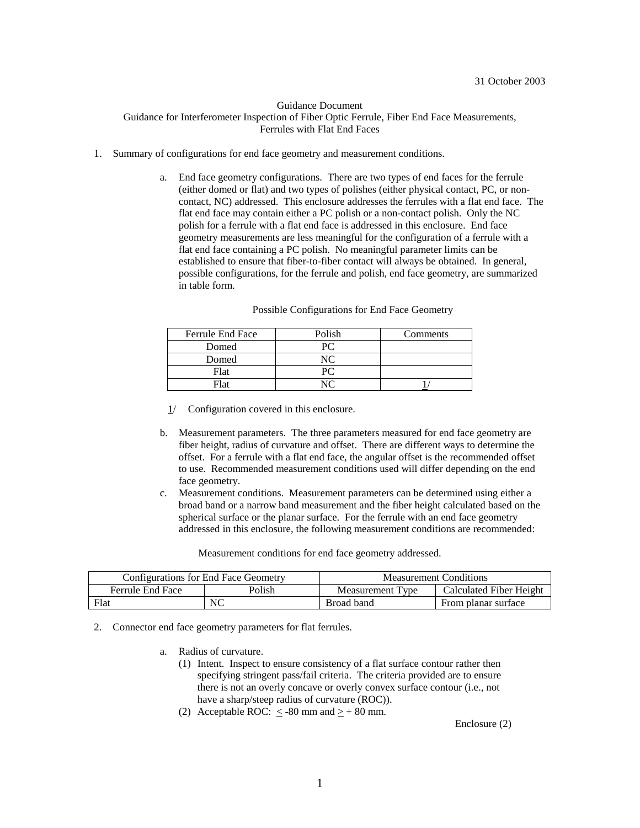#### Guidance Document Guidance for Interferometer Inspection of Fiber Optic Ferrule, Fiber End Face Measurements, Ferrules with Flat End Faces

- 1. Summary of configurations for end face geometry and measurement conditions.
	- a. End face geometry configurations. There are two types of end faces for the ferrule (either domed or flat) and two types of polishes (either physical contact, PC, or noncontact, NC) addressed. This enclosure addresses the ferrules with a flat end face. The flat end face may contain either a PC polish or a non-contact polish. Only the NC polish for a ferrule with a flat end face is addressed in this enclosure. End face geometry measurements are less meaningful for the configuration of a ferrule with a flat end face containing a PC polish. No meaningful parameter limits can be established to ensure that fiber-to-fiber contact will always be obtained. In general, possible configurations, for the ferrule and polish, end face geometry, are summarized in table form.

| <b>Ferrule End Face</b> | Polish | Comments |
|-------------------------|--------|----------|
| Domed                   |        |          |
| Domed                   |        |          |
| Flat                    |        |          |
| Flat                    |        |          |

#### Possible Configurations for End Face Geometry

- 1/ Configuration covered in this enclosure.
- b. Measurement parameters. The three parameters measured for end face geometry are fiber height, radius of curvature and offset. There are different ways to determine the offset. For a ferrule with a flat end face, the angular offset is the recommended offset to use. Recommended measurement conditions used will differ depending on the end face geometry.
- c. Measurement conditions. Measurement parameters can be determined using either a broad band or a narrow band measurement and the fiber height calculated based on the spherical surface or the planar surface. For the ferrule with an end face geometry addressed in this enclosure, the following measurement conditions are recommended:

Measurement conditions for end face geometry addressed.

|                                   | Configurations for End Face Geometry | <b>Measurement Conditions</b> |                         |  |  |
|-----------------------------------|--------------------------------------|-------------------------------|-------------------------|--|--|
| Polish<br><b>Ferrule End Face</b> |                                      | l vne<br>Measurement T        | Calculated Fiber Height |  |  |
| Flat                              | NC                                   | Broad band                    | From planar surface     |  |  |

2. Connector end face geometry parameters for flat ferrules.

- a. Radius of curvature.
	- (1) Intent. Inspect to ensure consistency of a flat surface contour rather then specifying stringent pass/fail criteria. The criteria provided are to ensure there is not an overly concave or overly convex surface contour (i.e., not have a sharp/steep radius of curvature (ROC)).
	- (2) Acceptable ROC:  $\leq$  -80 mm and  $\geq$  + 80 mm.

Enclosure (2)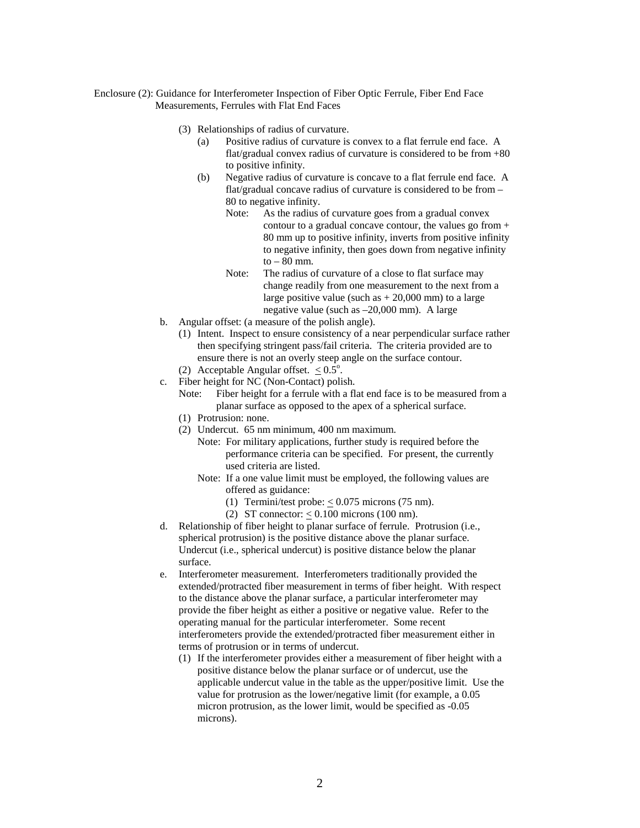Enclosure (2): Guidance for Interferometer Inspection of Fiber Optic Ferrule, Fiber End Face Measurements, Ferrules with Flat End Faces

- (3) Relationships of radius of curvature.
	- (a) Positive radius of curvature is convex to a flat ferrule end face. A flat/gradual convex radius of curvature is considered to be from +80 to positive infinity.
	- (b) Negative radius of curvature is concave to a flat ferrule end face. A flat/gradual concave radius of curvature is considered to be from – 80 to negative infinity.
		- Note: As the radius of curvature goes from a gradual convex contour to a gradual concave contour, the values go from + 80 mm up to positive infinity, inverts from positive infinity to negative infinity, then goes down from negative infinity to  $-80$  mm.
		- Note: The radius of curvature of a close to flat surface may change readily from one measurement to the next from a large positive value (such as  $+ 20,000$  mm) to a large negative value (such as –20,000 mm). A large
- b. Angular offset: (a measure of the polish angle).
	- (1) Intent. Inspect to ensure consistency of a near perpendicular surface rather then specifying stringent pass/fail criteria. The criteria provided are to ensure there is not an overly steep angle on the surface contour.
	- (2) Acceptable Angular offset.  $\leq 0.5^{\circ}$ .
- c. Fiber height for NC (Non-Contact) polish.
	- Note: Fiber height for a ferrule with a flat end face is to be measured from a planar surface as opposed to the apex of a spherical surface.
	- (1) Protrusion: none.
	- (2) Undercut. 65 nm minimum, 400 nm maximum.
		- Note: For military applications, further study is required before the performance criteria can be specified. For present, the currently used criteria are listed.
		- Note: If a one value limit must be employed, the following values are offered as guidance:
			- (1) Termini/test probe:  $< 0.075$  microns (75 nm).
			- (2) ST connector:  $< 0.100$  microns (100 nm).
- d. Relationship of fiber height to planar surface of ferrule. Protrusion (i.e., spherical protrusion) is the positive distance above the planar surface. Undercut (i.e., spherical undercut) is positive distance below the planar surface.
- e. Interferometer measurement. Interferometers traditionally provided the extended/protracted fiber measurement in terms of fiber height. With respect to the distance above the planar surface, a particular interferometer may provide the fiber height as either a positive or negative value. Refer to the operating manual for the particular interferometer. Some recent interferometers provide the extended/protracted fiber measurement either in terms of protrusion or in terms of undercut.
	- (1) If the interferometer provides either a measurement of fiber height with a positive distance below the planar surface or of undercut, use the applicable undercut value in the table as the upper/positive limit. Use the value for protrusion as the lower/negative limit (for example, a 0.05 micron protrusion, as the lower limit, would be specified as -0.05 microns).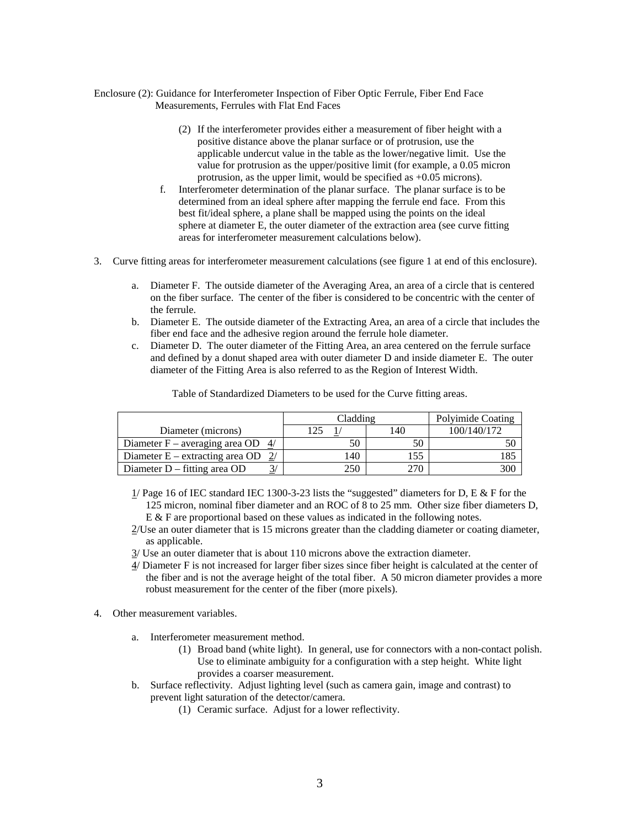#### Enclosure (2): Guidance for Interferometer Inspection of Fiber Optic Ferrule, Fiber End Face Measurements, Ferrules with Flat End Faces

- (2) If the interferometer provides either a measurement of fiber height with a positive distance above the planar surface or of protrusion, use the applicable undercut value in the table as the lower/negative limit. Use the value for protrusion as the upper/positive limit (for example, a 0.05 micron protrusion, as the upper limit, would be specified as +0.05 microns).
- f. Interferometer determination of the planar surface. The planar surface is to be determined from an ideal sphere after mapping the ferrule end face. From this best fit/ideal sphere, a plane shall be mapped using the points on the ideal sphere at diameter E, the outer diameter of the extraction area (see curve fitting areas for interferometer measurement calculations below).
- 3. Curve fitting areas for interferometer measurement calculations (see figure 1 at end of this enclosure).
	- a. Diameter F. The outside diameter of the Averaging Area, an area of a circle that is centered on the fiber surface. The center of the fiber is considered to be concentric with the center of the ferrule.
	- b. Diameter E. The outside diameter of the Extracting Area, an area of a circle that includes the fiber end face and the adhesive region around the ferrule hole diameter.
	- c. Diameter D. The outer diameter of the Fitting Area, an area centered on the ferrule surface and defined by a donut shaped area with outer diameter D and inside diameter E. The outer diameter of the Fitting Area is also referred to as the Region of Interest Width.

|                                      | Cladding | Polyimide Coating |             |
|--------------------------------------|----------|-------------------|-------------|
| Diameter (microns)                   | 125      | .40               | 100/140/172 |
| Diameter F – averaging area OD $4/$  | 50       |                   |             |
| Diameter E – extracting area OD $2/$ | 140      | 155               | .85         |
| Diameter $D$ – fitting area OD       | 250      |                   | 30C         |

Table of Standardized Diameters to be used for the Curve fitting areas.

- $1/$  Page 16 of IEC standard IEC 1300-3-23 lists the "suggested" diameters for D, E & F for the 125 micron, nominal fiber diameter and an ROC of 8 to 25 mm. Other size fiber diameters D, E & F are proportional based on these values as indicated in the following notes.
- 2/Use an outer diameter that is 15 microns greater than the cladding diameter or coating diameter, as applicable.
- 3/ Use an outer diameter that is about 110 microns above the extraction diameter.
- 4/ Diameter F is not increased for larger fiber sizes since fiber height is calculated at the center of the fiber and is not the average height of the total fiber. A 50 micron diameter provides a more robust measurement for the center of the fiber (more pixels).
- 4. Other measurement variables.
	- a. Interferometer measurement method.
		- (1) Broad band (white light). In general, use for connectors with a non-contact polish. Use to eliminate ambiguity for a configuration with a step height. White light provides a coarser measurement.
	- b. Surface reflectivity. Adjust lighting level (such as camera gain, image and contrast) to prevent light saturation of the detector/camera.
		- (1) Ceramic surface. Adjust for a lower reflectivity.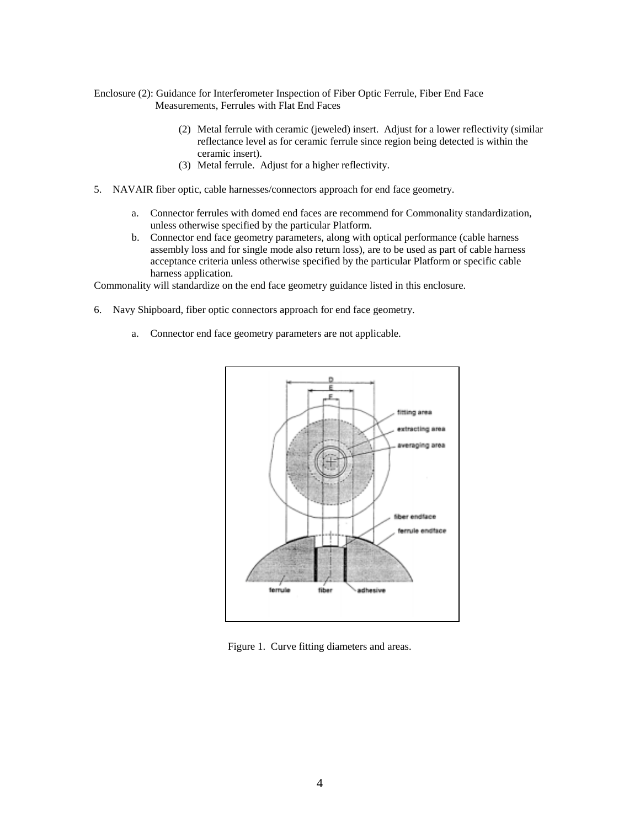Enclosure (2): Guidance for Interferometer Inspection of Fiber Optic Ferrule, Fiber End Face Measurements, Ferrules with Flat End Faces

- (2) Metal ferrule with ceramic (jeweled) insert. Adjust for a lower reflectivity (similar reflectance level as for ceramic ferrule since region being detected is within the ceramic insert).
- (3) Metal ferrule. Adjust for a higher reflectivity.
- 5. NAVAIR fiber optic, cable harnesses/connectors approach for end face geometry.
	- a. Connector ferrules with domed end faces are recommend for Commonality standardization, unless otherwise specified by the particular Platform.
	- b. Connector end face geometry parameters, along with optical performance (cable harness assembly loss and for single mode also return loss), are to be used as part of cable harness acceptance criteria unless otherwise specified by the particular Platform or specific cable harness application.

Commonality will standardize on the end face geometry guidance listed in this enclosure.

- 6. Navy Shipboard, fiber optic connectors approach for end face geometry.
	- a. Connector end face geometry parameters are not applicable.



Figure 1. Curve fitting diameters and areas.